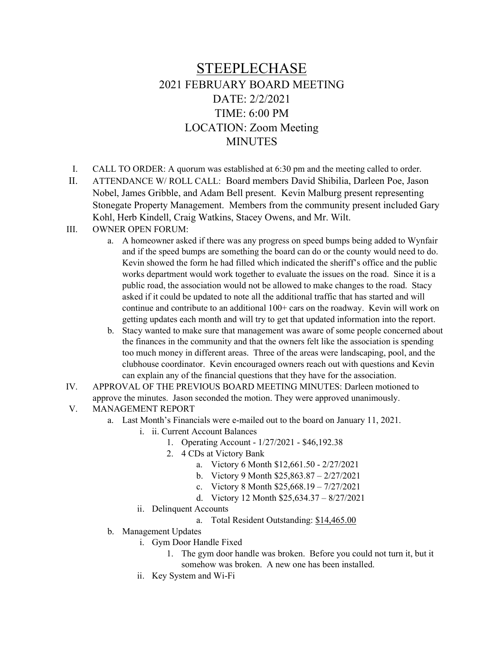## STEEPLECHASE 2021 FEBRUARY BOARD MEETING DATE: 2/2/2021 TIME: 6:00 PM LOCATION: Zoom Meeting **MINUTES**

I. CALL TO ORDER: A quorum was established at 6:30 pm and the meeting called to order.

II. ATTENDANCE W/ ROLL CALL: Board members David Shibilia, Darleen Poe, Jason Nobel, James Gribble, and Adam Bell present. Kevin Malburg present representing Stonegate Property Management. Members from the community present included Gary Kohl, Herb Kindell, Craig Watkins, Stacey Owens, and Mr. Wilt.

## III. OWNER OPEN FORUM:

- a. A homeowner asked if there was any progress on speed bumps being added to Wynfair and if the speed bumps are something the board can do or the county would need to do. Kevin showed the form he had filled which indicated the sheriff's office and the public works department would work together to evaluate the issues on the road. Since it is a public road, the association would not be allowed to make changes to the road. Stacy asked if it could be updated to note all the additional traffic that has started and will continue and contribute to an additional 100+ cars on the roadway. Kevin will work on getting updates each month and will try to get that updated information into the report.
- b. Stacy wanted to make sure that management was aware of some people concerned about the finances in the community and that the owners felt like the association is spending too much money in different areas. Three of the areas were landscaping, pool, and the clubhouse coordinator. Kevin encouraged owners reach out with questions and Kevin can explain any of the financial questions that they have for the association.
- IV. APPROVAL OF THE PREVIOUS BOARD MEETING MINUTES: Darleen motioned to approve the minutes. Jason seconded the motion. They were approved unanimously.
- V. MANAGEMENT REPORT
	- a. Last Month's Financials were e-mailed out to the board on January 11, 2021.
		- i. ii. Current Account Balances
			- 1. Operating Account 1/27/2021 \$46,192.38
			- 2. 4 CDs at Victory Bank
				- a. Victory 6 Month \$12,661.50 2/27/2021
				- b. Victory 9 Month \$25,863.87 2/27/2021
				- c. Victory 8 Month \$25,668.19 7/27/2021
				- d. Victory 12 Month \$25,634.37 8/27/2021
		- ii. Delinquent Accounts
			- a. Total Resident Outstanding: \$14,465.00
	- b. Management Updates
		- i. Gym Door Handle Fixed
			- 1. The gym door handle was broken. Before you could not turn it, but it somehow was broken. A new one has been installed.
		- ii. Key System and Wi-Fi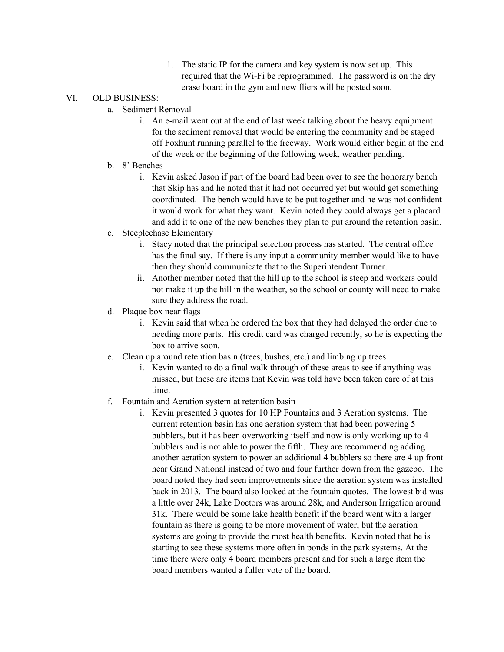1. The static IP for the camera and key system is now set up. This required that the Wi-Fi be reprogrammed. The password is on the dry erase board in the gym and new fliers will be posted soon.

## VI. OLD BUSINESS:

- a. Sediment Removal
	- i. An e-mail went out at the end of last week talking about the heavy equipment for the sediment removal that would be entering the community and be staged off Foxhunt running parallel to the freeway. Work would either begin at the end of the week or the beginning of the following week, weather pending.
- b. 8' Benches
	- i. Kevin asked Jason if part of the board had been over to see the honorary bench that Skip has and he noted that it had not occurred yet but would get something coordinated. The bench would have to be put together and he was not confident it would work for what they want. Kevin noted they could always get a placard and add it to one of the new benches they plan to put around the retention basin.
- c. Steeplechase Elementary
	- i. Stacy noted that the principal selection process has started. The central office has the final say. If there is any input a community member would like to have then they should communicate that to the Superintendent Turner.
	- ii. Another member noted that the hill up to the school is steep and workers could not make it up the hill in the weather, so the school or county will need to make sure they address the road.
- d. Plaque box near flags
	- i. Kevin said that when he ordered the box that they had delayed the order due to needing more parts. His credit card was charged recently, so he is expecting the box to arrive soon.
- e. Clean up around retention basin (trees, bushes, etc.) and limbing up trees
	- i. Kevin wanted to do a final walk through of these areas to see if anything was missed, but these are items that Kevin was told have been taken care of at this time.
- f. Fountain and Aeration system at retention basin
	- i. Kevin presented 3 quotes for 10 HP Fountains and 3 Aeration systems. The current retention basin has one aeration system that had been powering 5 bubblers, but it has been overworking itself and now is only working up to 4 bubblers and is not able to power the fifth. They are recommending adding another aeration system to power an additional 4 bubblers so there are 4 up front near Grand National instead of two and four further down from the gazebo. The board noted they had seen improvements since the aeration system was installed back in 2013. The board also looked at the fountain quotes. The lowest bid was a little over 24k, Lake Doctors was around 28k, and Anderson Irrigation around 31k. There would be some lake health benefit if the board went with a larger fountain as there is going to be more movement of water, but the aeration systems are going to provide the most health benefits. Kevin noted that he is starting to see these systems more often in ponds in the park systems. At the time there were only 4 board members present and for such a large item the board members wanted a fuller vote of the board.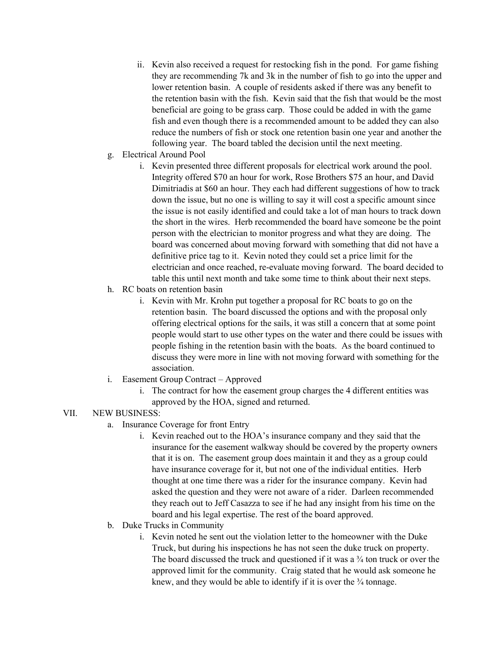- ii. Kevin also received a request for restocking fish in the pond. For game fishing they are recommending 7k and 3k in the number of fish to go into the upper and lower retention basin. A couple of residents asked if there was any benefit to the retention basin with the fish. Kevin said that the fish that would be the most beneficial are going to be grass carp. Those could be added in with the game fish and even though there is a recommended amount to be added they can also reduce the numbers of fish or stock one retention basin one year and another the following year. The board tabled the decision until the next meeting.
- g. Electrical Around Pool
	- i. Kevin presented three different proposals for electrical work around the pool. Integrity offered \$70 an hour for work, Rose Brothers \$75 an hour, and David Dimitriadis at \$60 an hour. They each had different suggestions of how to track down the issue, but no one is willing to say it will cost a specific amount since the issue is not easily identified and could take a lot of man hours to track down the short in the wires. Herb recommended the board have someone be the point person with the electrician to monitor progress and what they are doing. The board was concerned about moving forward with something that did not have a definitive price tag to it. Kevin noted they could set a price limit for the electrician and once reached, re-evaluate moving forward. The board decided to table this until next month and take some time to think about their next steps.
- h. RC boats on retention basin
	- i. Kevin with Mr. Krohn put together a proposal for RC boats to go on the retention basin. The board discussed the options and with the proposal only offering electrical options for the sails, it was still a concern that at some point people would start to use other types on the water and there could be issues with people fishing in the retention basin with the boats. As the board continued to discuss they were more in line with not moving forward with something for the association.
- i. Easement Group Contract Approved
	- i. The contract for how the easement group charges the 4 different entities was approved by the HOA, signed and returned.

## VII. NEW BUSINESS:

- a. Insurance Coverage for front Entry
	- i. Kevin reached out to the HOA's insurance company and they said that the insurance for the easement walkway should be covered by the property owners that it is on. The easement group does maintain it and they as a group could have insurance coverage for it, but not one of the individual entities. Herb thought at one time there was a rider for the insurance company. Kevin had asked the question and they were not aware of a rider. Darleen recommended they reach out to Jeff Casazza to see if he had any insight from his time on the board and his legal expertise. The rest of the board approved.
- b. Duke Trucks in Community
	- i. Kevin noted he sent out the violation letter to the homeowner with the Duke Truck, but during his inspections he has not seen the duke truck on property. The board discussed the truck and questioned if it was a  $\frac{3}{4}$  ton truck or over the approved limit for the community. Craig stated that he would ask someone he knew, and they would be able to identify if it is over the  $\frac{3}{4}$  tonnage.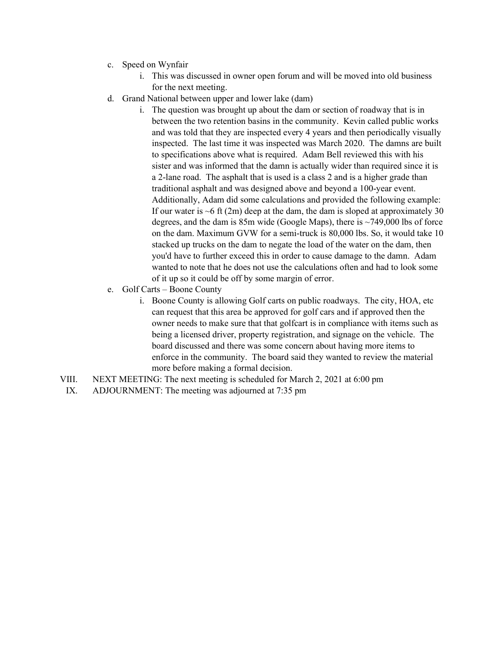- c. Speed on Wynfair
	- i. This was discussed in owner open forum and will be moved into old business for the next meeting.
- d. Grand National between upper and lower lake (dam)
	- i. The question was brought up about the dam or section of roadway that is in between the two retention basins in the community. Kevin called public works and was told that they are inspected every 4 years and then periodically visually inspected. The last time it was inspected was March 2020. The damns are built to specifications above what is required. Adam Bell reviewed this with his sister and was informed that the damn is actually wider than required since it is a 2-lane road. The asphalt that is used is a class 2 and is a higher grade than traditional asphalt and was designed above and beyond a 100-year event. Additionally, Adam did some calculations and provided the following example: If our water is  $\sim$  6 ft (2m) deep at the dam, the dam is sloped at approximately 30 degrees, and the dam is 85m wide (Google Maps), there is ~749,000 lbs of force on the dam. Maximum GVW for a semi-truck is 80,000 lbs. So, it would take 10 stacked up trucks on the dam to negate the load of the water on the dam, then you'd have to further exceed this in order to cause damage to the damn. Adam wanted to note that he does not use the calculations often and had to look some of it up so it could be off by some margin of error.
- e. Golf Carts Boone County
	- i. Boone County is allowing Golf carts on public roadways. The city, HOA, etc can request that this area be approved for golf cars and if approved then the owner needs to make sure that that golfcart is in compliance with items such as being a licensed driver, property registration, and signage on the vehicle. The board discussed and there was some concern about having more items to enforce in the community. The board said they wanted to review the material more before making a formal decision.
- VIII. NEXT MEETING: The next meeting is scheduled for March 2, 2021 at 6:00 pm
- IX. ADJOURNMENT: The meeting was adjourned at 7:35 pm